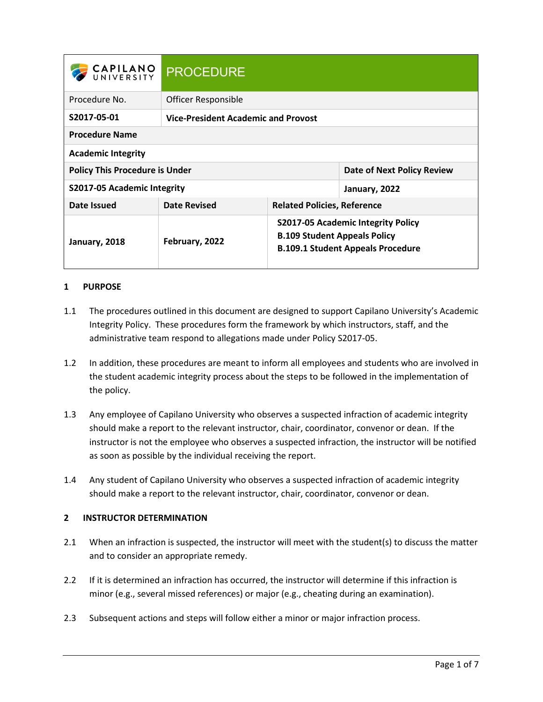| <b>CAPILANO</b><br>UNIVERSITY         | <b>PROCEDURE</b>                           |                                                                                                                              |                            |
|---------------------------------------|--------------------------------------------|------------------------------------------------------------------------------------------------------------------------------|----------------------------|
| Procedure No.                         | Officer Responsible                        |                                                                                                                              |                            |
| S2017-05-01                           | <b>Vice-President Academic and Provost</b> |                                                                                                                              |                            |
| <b>Procedure Name</b>                 |                                            |                                                                                                                              |                            |
| <b>Academic Integrity</b>             |                                            |                                                                                                                              |                            |
| <b>Policy This Procedure is Under</b> |                                            |                                                                                                                              | Date of Next Policy Review |
| S2017-05 Academic Integrity           |                                            |                                                                                                                              | January, 2022              |
| Date Issued                           | <b>Date Revised</b>                        | <b>Related Policies, Reference</b>                                                                                           |                            |
| January, 2018                         | February, 2022                             | <b>S2017-05 Academic Integrity Policy</b><br><b>B.109 Student Appeals Policy</b><br><b>B.109.1 Student Appeals Procedure</b> |                            |

# **1 PURPOSE**

- 1.1 The procedures outlined in this document are designed to support Capilano University's Academic Integrity Policy. These procedures form the framework by which instructors, staff, and the administrative team respond to allegations made under Policy S2017-05.
- 1.2 In addition, these procedures are meant to inform all employees and students who are involved in the student academic integrity process about the steps to be followed in the implementation of the policy.
- 1.3 Any employee of Capilano University who observes a suspected infraction of academic integrity should make a report to the relevant instructor, chair, coordinator, convenor or dean. If the instructor is not the employee who observes a suspected infraction, the instructor will be notified as soon as possible by the individual receiving the report.
- 1.4 Any student of Capilano University who observes a suspected infraction of academic integrity should make a report to the relevant instructor, chair, coordinator, convenor or dean.

### **2 INSTRUCTOR DETERMINATION**

- 2.1 When an infraction is suspected, the instructor will meet with the student(s) to discuss the matter and to consider an appropriate remedy.
- 2.2 If it is determined an infraction has occurred, the instructor will determine if this infraction is minor (e.g., several missed references) or major (e.g., cheating during an examination).
- 2.3 Subsequent actions and steps will follow either a minor or major infraction process.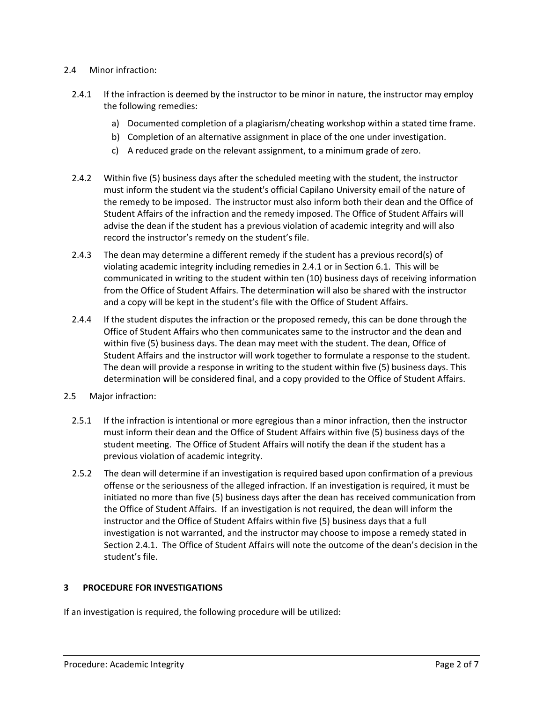### 2.4 Minor infraction:

- 2.4.1 If the infraction is deemed by the instructor to be minor in nature, the instructor may employ the following remedies:
	- a) Documented completion of a plagiarism/cheating workshop within a stated time frame.
	- b) Completion of an alternative assignment in place of the one under investigation.
	- c) A reduced grade on the relevant assignment, to a minimum grade of zero.
- 2.4.2 Within five (5) business days after the scheduled meeting with the student, the instructor must inform the student via the student's official Capilano University email of the nature of the remedy to be imposed. The instructor must also inform both their dean and the Office of Student Affairs of the infraction and the remedy imposed. The Office of Student Affairs will advise the dean if the student has a previous violation of academic integrity and will also record the instructor's remedy on the student's file.
- 2.4.3 The dean may determine a different remedy if the student has a previous record(s) of violating academic integrity including remedies in 2.4.1 or in Section 6.1. This will be communicated in writing to the student within ten (10) business days of receiving information from the Office of Student Affairs. The determination will also be shared with the instructor and a copy will be kept in the student's file with the Office of Student Affairs.
- 2.4.4 If the student disputes the infraction or the proposed remedy, this can be done through the Office of Student Affairs who then communicates same to the instructor and the dean and within five (5) business days. The dean may meet with the student. The dean, Office of Student Affairs and the instructor will work together to formulate a response to the student. The dean will provide a response in writing to the student within five (5) business days. This determination will be considered final, and a copy provided to the Office of Student Affairs.
- 2.5 Major infraction:
	- 2.5.1 If the infraction is intentional or more egregious than a minor infraction, then the instructor must inform their dean and the Office of Student Affairs within five (5) business days of the student meeting. The Office of Student Affairs will notify the dean if the student has a previous violation of academic integrity.
	- 2.5.2 The dean will determine if an investigation is required based upon confirmation of a previous offense or the seriousness of the alleged infraction. If an investigation is required, it must be initiated no more than five (5) business days after the dean has received communication from the Office of Student Affairs. If an investigation is not required, the dean will inform the instructor and the Office of Student Affairs within five (5) business days that a full investigation is not warranted, and the instructor may choose to impose a remedy stated in Section 2.4.1. The Office of Student Affairs will note the outcome of the dean's decision in the student's file.

# **3 PROCEDURE FOR INVESTIGATIONS**

If an investigation is required, the following procedure will be utilized: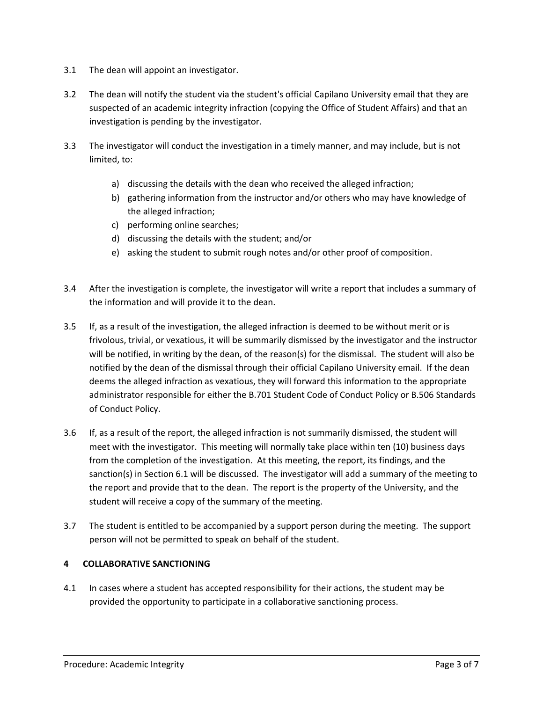- 3.1 The dean will appoint an investigator.
- 3.2 The dean will notify the student via the student's official Capilano University email that they are suspected of an academic integrity infraction (copying the Office of Student Affairs) and that an investigation is pending by the investigator.
- 3.3 The investigator will conduct the investigation in a timely manner, and may include, but is not limited, to:
	- a) discussing the details with the dean who received the alleged infraction;
	- b) gathering information from the instructor and/or others who may have knowledge of the alleged infraction;
	- c) performing online searches;
	- d) discussing the details with the student; and/or
	- e) asking the student to submit rough notes and/or other proof of composition.
- 3.4 After the investigation is complete, the investigator will write a report that includes a summary of the information and will provide it to the dean.
- 3.5 If, as a result of the investigation, the alleged infraction is deemed to be without merit or is frivolous, trivial, or vexatious, it will be summarily dismissed by the investigator and the instructor will be notified, in writing by the dean, of the reason(s) for the dismissal. The student will also be notified by the dean of the dismissal through their official Capilano University email. If the dean deems the alleged infraction as vexatious, they will forward this information to the appropriate administrator responsible for either the B.701 Student Code of Conduct Policy or B.506 Standards of Conduct Policy.
- 3.6 If, as a result of the report, the alleged infraction is not summarily dismissed, the student will meet with the investigator. This meeting will normally take place within ten (10) business days from the completion of the investigation. At this meeting, the report, its findings, and the sanction(s) in Section 6.1 will be discussed. The investigator will add a summary of the meeting to the report and provide that to the dean. The report is the property of the University, and the student will receive a copy of the summary of the meeting.
- 3.7 The student is entitled to be accompanied by a support person during the meeting. The support person will not be permitted to speak on behalf of the student.

### **4 COLLABORATIVE SANCTIONING**

4.1 In cases where a student has accepted responsibility for their actions, the student may be provided the opportunity to participate in a collaborative sanctioning process.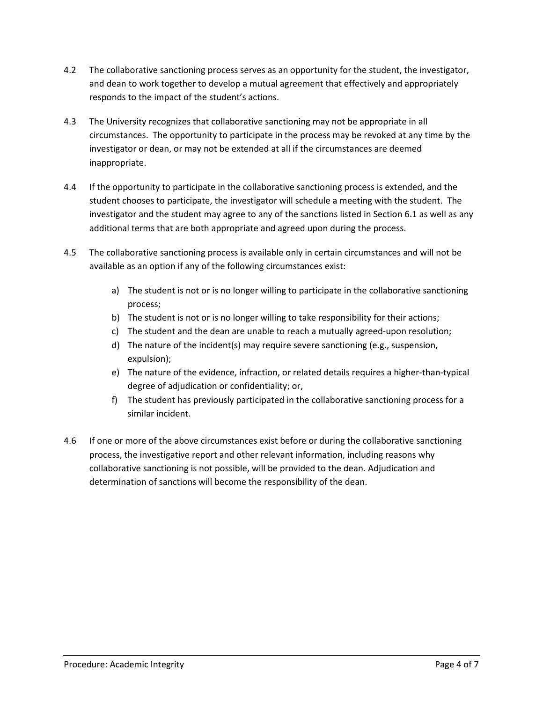- 4.2 The collaborative sanctioning process serves as an opportunity for the student, the investigator, and dean to work together to develop a mutual agreement that effectively and appropriately responds to the impact of the student's actions.
- 4.3 The University recognizes that collaborative sanctioning may not be appropriate in all circumstances. The opportunity to participate in the process may be revoked at any time by the investigator or dean, or may not be extended at all if the circumstances are deemed inappropriate.
- 4.4 If the opportunity to participate in the collaborative sanctioning process is extended, and the student chooses to participate, the investigator will schedule a meeting with the student. The investigator and the student may agree to any of the sanctions listed in Section 6.1 as well as any additional terms that are both appropriate and agreed upon during the process.
- 4.5 The collaborative sanctioning process is available only in certain circumstances and will not be available as an option if any of the following circumstances exist:
	- a) The student is not or is no longer willing to participate in the collaborative sanctioning process;
	- b) The student is not or is no longer willing to take responsibility for their actions;
	- c) The student and the dean are unable to reach a mutually agreed-upon resolution;
	- d) The nature of the incident(s) may require severe sanctioning (e.g., suspension, expulsion);
	- e) The nature of the evidence, infraction, or related details requires a higher-than-typical degree of adjudication or confidentiality; or,
	- f) The student has previously participated in the collaborative sanctioning process for a similar incident.
- 4.6 If one or more of the above circumstances exist before or during the collaborative sanctioning process, the investigative report and other relevant information, including reasons why collaborative sanctioning is not possible, will be provided to the dean. Adjudication and determination of sanctions will become the responsibility of the dean.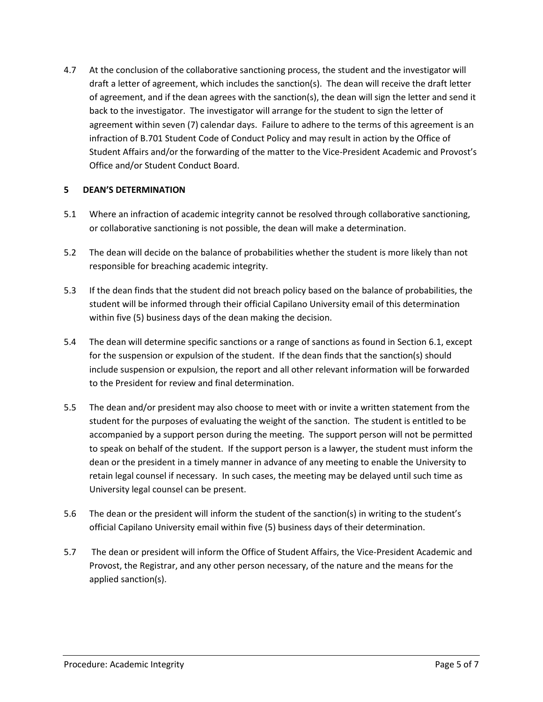4.7 At the conclusion of the collaborative sanctioning process, the student and the investigator will draft a letter of agreement, which includes the sanction(s). The dean will receive the draft letter of agreement, and if the dean agrees with the sanction(s), the dean will sign the letter and send it back to the investigator. The investigator will arrange for the student to sign the letter of agreement within seven (7) calendar days. Failure to adhere to the terms of this agreement is an infraction of B.701 Student Code of Conduct Policy and may result in action by the Office of Student Affairs and/or the forwarding of the matter to the Vice-President Academic and Provost's Office and/or Student Conduct Board.

### **5 DEAN'S DETERMINATION**

- 5.1 Where an infraction of academic integrity cannot be resolved through collaborative sanctioning, or collaborative sanctioning is not possible, the dean will make a determination.
- 5.2 The dean will decide on the balance of probabilities whether the student is more likely than not responsible for breaching academic integrity.
- 5.3 If the dean finds that the student did not breach policy based on the balance of probabilities, the student will be informed through their official Capilano University email of this determination within five (5) business days of the dean making the decision.
- 5.4 The dean will determine specific sanctions or a range of sanctions as found in Section 6.1, except for the suspension or expulsion of the student. If the dean finds that the sanction(s) should include suspension or expulsion, the report and all other relevant information will be forwarded to the President for review and final determination.
- 5.5 The dean and/or president may also choose to meet with or invite a written statement from the student for the purposes of evaluating the weight of the sanction. The student is entitled to be accompanied by a support person during the meeting. The support person will not be permitted to speak on behalf of the student. If the support person is a lawyer, the student must inform the dean or the president in a timely manner in advance of any meeting to enable the University to retain legal counsel if necessary. In such cases, the meeting may be delayed until such time as University legal counsel can be present.
- 5.6 The dean or the president will inform the student of the sanction(s) in writing to the student's official Capilano University email within five (5) business days of their determination.
- 5.7 The dean or president will inform the Office of Student Affairs, the Vice-President Academic and Provost, the Registrar, and any other person necessary, of the nature and the means for the applied sanction(s).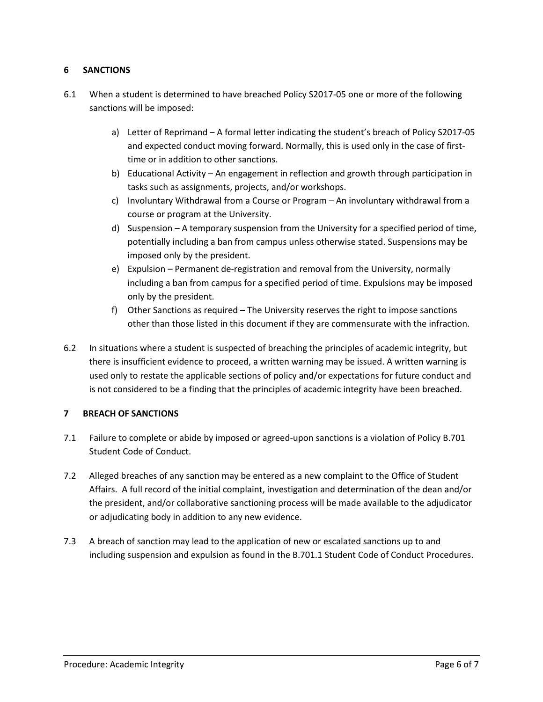# **6 SANCTIONS**

- 6.1 When a student is determined to have breached Policy S2017-05 one or more of the following sanctions will be imposed:
	- a) Letter of Reprimand A formal letter indicating the student's breach of Policy S2017-05 and expected conduct moving forward. Normally, this is used only in the case of firsttime or in addition to other sanctions.
	- b) Educational Activity An engagement in reflection and growth through participation in tasks such as assignments, projects, and/or workshops.
	- c) Involuntary Withdrawal from a Course or Program An involuntary withdrawal from a course or program at the University.
	- d) Suspension A temporary suspension from the University for a specified period of time, potentially including a ban from campus unless otherwise stated. Suspensions may be imposed only by the president.
	- e) Expulsion Permanent de-registration and removal from the University, normally including a ban from campus for a specified period of time. Expulsions may be imposed only by the president.
	- f) Other Sanctions as required The University reserves the right to impose sanctions other than those listed in this document if they are commensurate with the infraction.
- 6.2 In situations where a student is suspected of breaching the principles of academic integrity, but there is insufficient evidence to proceed, a written warning may be issued. A written warning is used only to restate the applicable sections of policy and/or expectations for future conduct and is not considered to be a finding that the principles of academic integrity have been breached.

### **7 BREACH OF SANCTIONS**

- 7.1 Failure to complete or abide by imposed or agreed-upon sanctions is a violation of Policy B.701 Student Code of Conduct.
- 7.2 Alleged breaches of any sanction may be entered as a new complaint to the Office of Student Affairs. A full record of the initial complaint, investigation and determination of the dean and/or the president, and/or collaborative sanctioning process will be made available to the adjudicator or adjudicating body in addition to any new evidence.
- 7.3 A breach of sanction may lead to the application of new or escalated sanctions up to and including suspension and expulsion as found in the B.701.1 Student Code of Conduct Procedures.